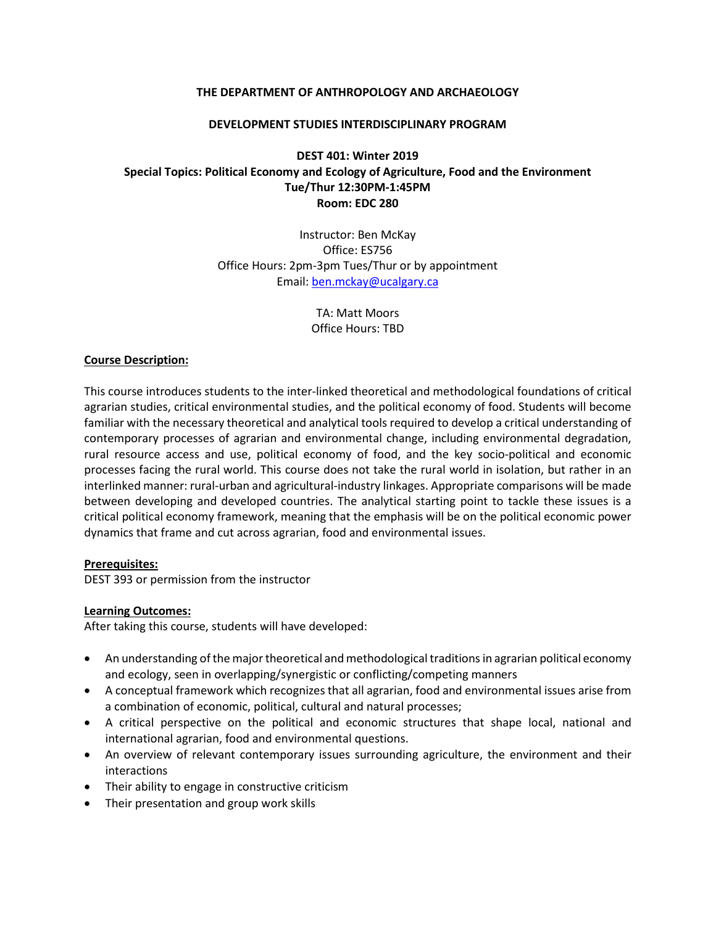#### **THE DEPARTMENT OF ANTHROPOLOGY AND ARCHAEOLOGY**

#### **DEVELOPMENT STUDIES INTERDISCIPLINARY PROGRAM**

### **DEST 401: Winter 2019 Special Topics: Political Economy and Ecology of Agriculture, Food and the Environment Tue/Thur 12:30PM-1:45PM Room: EDC 280**

Instructor: Ben McKay Office: ES756 Office Hours: 2pm-3pm Tues/Thur or by appointment Email[: ben.mckay@ucalgary.ca](mailto:ben.mckay@ucalgary.ca)

> TA: Matt Moors Office Hours: TBD

#### **Course Description:**

This course introduces students to the inter-linked theoretical and methodological foundations of critical agrarian studies, critical environmental studies, and the political economy of food. Students will become familiar with the necessary theoretical and analytical tools required to develop a critical understanding of contemporary processes of agrarian and environmental change, including environmental degradation, rural resource access and use, political economy of food, and the key socio-political and economic processes facing the rural world. This course does not take the rural world in isolation, but rather in an interlinked manner: rural-urban and agricultural-industry linkages. Appropriate comparisons will be made between developing and developed countries. The analytical starting point to tackle these issues is a critical political economy framework, meaning that the emphasis will be on the political economic power dynamics that frame and cut across agrarian, food and environmental issues.

#### **Prerequisites:**

DEST 393 or permission from the instructor

### **Learning Outcomes:**

After taking this course, students will have developed:

- An understanding of the major theoretical and methodological traditions in agrarian political economy and ecology, seen in overlapping/synergistic or conflicting/competing manners
- A conceptual framework which recognizes that all agrarian, food and environmental issues arise from a combination of economic, political, cultural and natural processes;
- A critical perspective on the political and economic structures that shape local, national and international agrarian, food and environmental questions.
- An overview of relevant contemporary issues surrounding agriculture, the environment and their interactions
- Their ability to engage in constructive criticism
- Their presentation and group work skills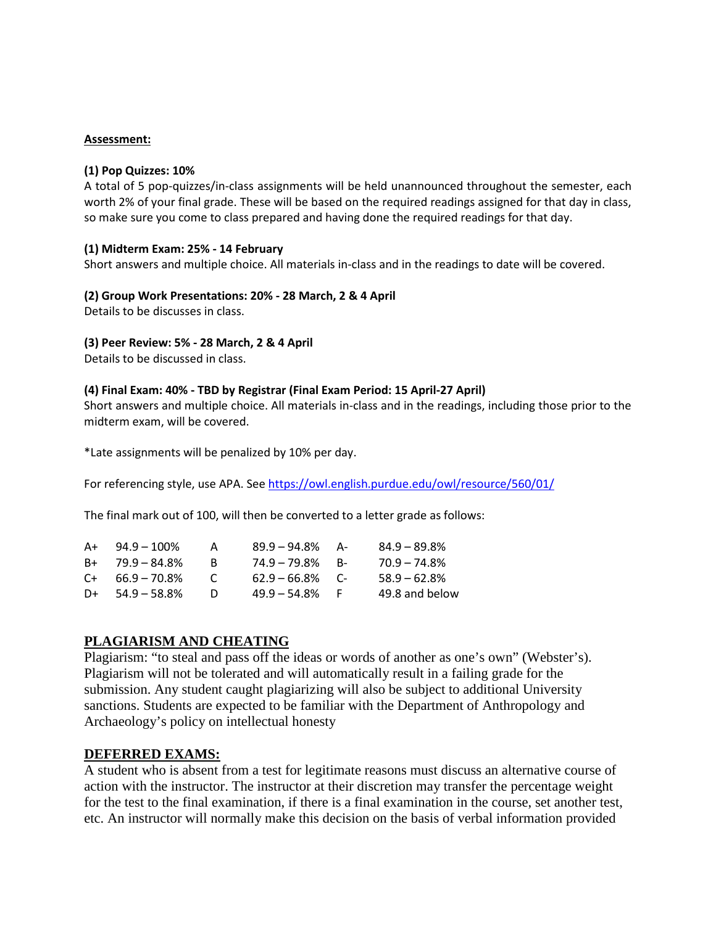#### **Assessment:**

#### **(1) Pop Quizzes: 10%**

A total of 5 pop-quizzes/in-class assignments will be held unannounced throughout the semester, each worth 2% of your final grade. These will be based on the required readings assigned for that day in class, so make sure you come to class prepared and having done the required readings for that day.

#### **(1) Midterm Exam: 25% - 14 February**

Short answers and multiple choice. All materials in-class and in the readings to date will be covered.

**(2) Group Work Presentations: 20% - 28 March, 2 & 4 April**

Details to be discusses in class.

### **(3) Peer Review: 5% - 28 March, 2 & 4 April**

Details to be discussed in class.

### **(4) Final Exam: 40% - TBD by Registrar (Final Exam Period: 15 April-27 April)**

Short answers and multiple choice. All materials in-class and in the readings, including those prior to the midterm exam, will be covered.

\*Late assignments will be penalized by 10% per day.

For referencing style, use APA. Se[e https://owl.english.purdue.edu/owl/resource/560/01/](https://owl.english.purdue.edu/owl/resource/560/01/)

The final mark out of 100, will then be converted to a letter grade as follows:

| Δ+ | $94.9 - 100\%$       |              | $89.9 - 94.8\%$ A- | $84.9 - 89.8%$  |
|----|----------------------|--------------|--------------------|-----------------|
|    | $B+ 79.9 - 84.8\%$   | к            | $74.9 - 79.8\%$ B- | $70.9 - 74.8\%$ |
|    | $C_{+}$ 66.9 – 70.8% | $\mathbf{C}$ | $62.9 - 66.8\%$ C- | $58.9 - 62.8\%$ |
|    | $D+$ 54.9 – 58.8%    | $\mathbf{D}$ | $49.9 - 54.8\%$ F  | 49.8 and below  |

### **PLAGIARISM AND CHEATING**

Plagiarism: "to steal and pass off the ideas or words of another as one's own" (Webster's). Plagiarism will not be tolerated and will automatically result in a failing grade for the submission. Any student caught plagiarizing will also be subject to additional University sanctions. Students are expected to be familiar with the Department of Anthropology and Archaeology's policy on intellectual honesty

### **DEFERRED EXAMS:**

A student who is absent from a test for legitimate reasons must discuss an alternative course of action with the instructor. The instructor at their discretion may transfer the percentage weight for the test to the final examination, if there is a final examination in the course, set another test, etc. An instructor will normally make this decision on the basis of verbal information provided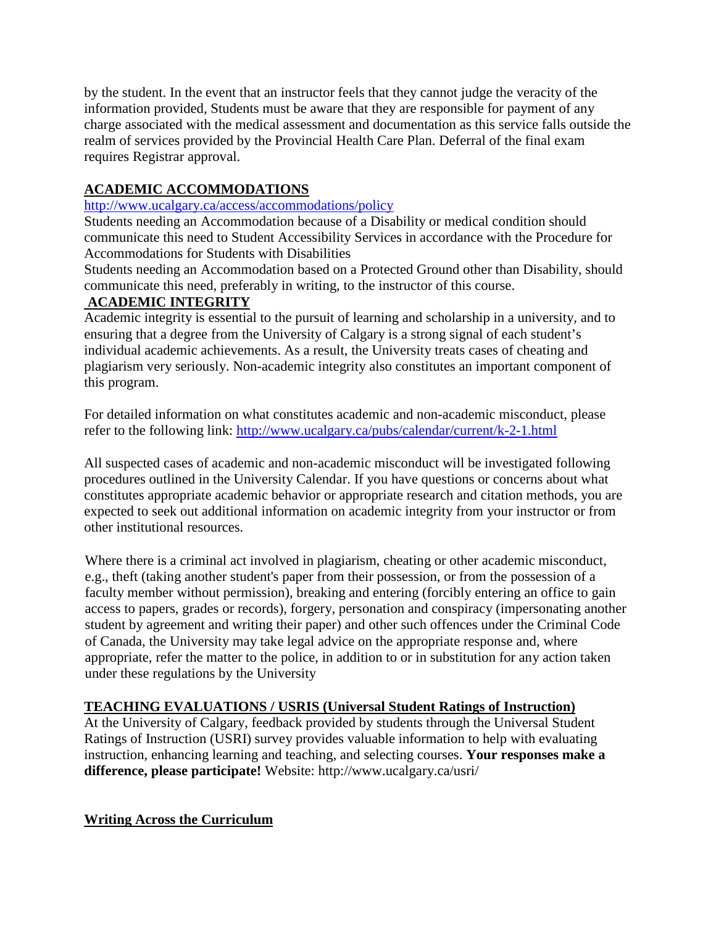by the student. In the event that an instructor feels that they cannot judge the veracity of the information provided, Students must be aware that they are responsible for payment of any charge associated with the medical assessment and documentation as this service falls outside the realm of services provided by the Provincial Health Care Plan. Deferral of the final exam requires Registrar approval.

# **ACADEMIC ACCOMMODATIONS**

## <http://www.ucalgary.ca/access/accommodations/policy>

Students needing an Accommodation because of a Disability or medical condition should communicate this need to Student Accessibility Services in accordance with the Procedure for Accommodations for Students with Disabilities

Students needing an Accommodation based on a Protected Ground other than Disability, should communicate this need, preferably in writing, to the instructor of this course.

# **ACADEMIC INTEGRITY**

Academic integrity is essential to the pursuit of learning and scholarship in a university, and to ensuring that a degree from the University of Calgary is a strong signal of each student's individual academic achievements. As a result, the University treats cases of cheating and plagiarism very seriously. Non-academic integrity also constitutes an important component of this program.

For detailed information on what constitutes academic and non-academic misconduct, please refer to the following link:<http://www.ucalgary.ca/pubs/calendar/current/k-2-1.html>

All suspected cases of academic and non-academic misconduct will be investigated following procedures outlined in the University Calendar. If you have questions or concerns about what constitutes appropriate academic behavior or appropriate research and citation methods, you are expected to seek out additional information on academic integrity from your instructor or from other institutional resources.

Where there is a criminal act involved in plagiarism, cheating or other academic misconduct, e.g., theft (taking another student's paper from their possession, or from the possession of a faculty member without permission), breaking and entering (forcibly entering an office to gain access to papers, grades or records), forgery, personation and conspiracy (impersonating another student by agreement and writing their paper) and other such offences under the Criminal Code of Canada, the University may take legal advice on the appropriate response and, where appropriate, refer the matter to the police, in addition to or in substitution for any action taken under these regulations by the University

# **TEACHING EVALUATIONS / USRIS (Universal Student Ratings of Instruction)**

At the University of Calgary, feedback provided by students through the Universal Student Ratings of Instruction (USRI) survey provides valuable information to help with evaluating instruction, enhancing learning and teaching, and selecting courses. **Your responses make a difference, please participate!** Website: http://www.ucalgary.ca/usri/

## **Writing Across the Curriculum**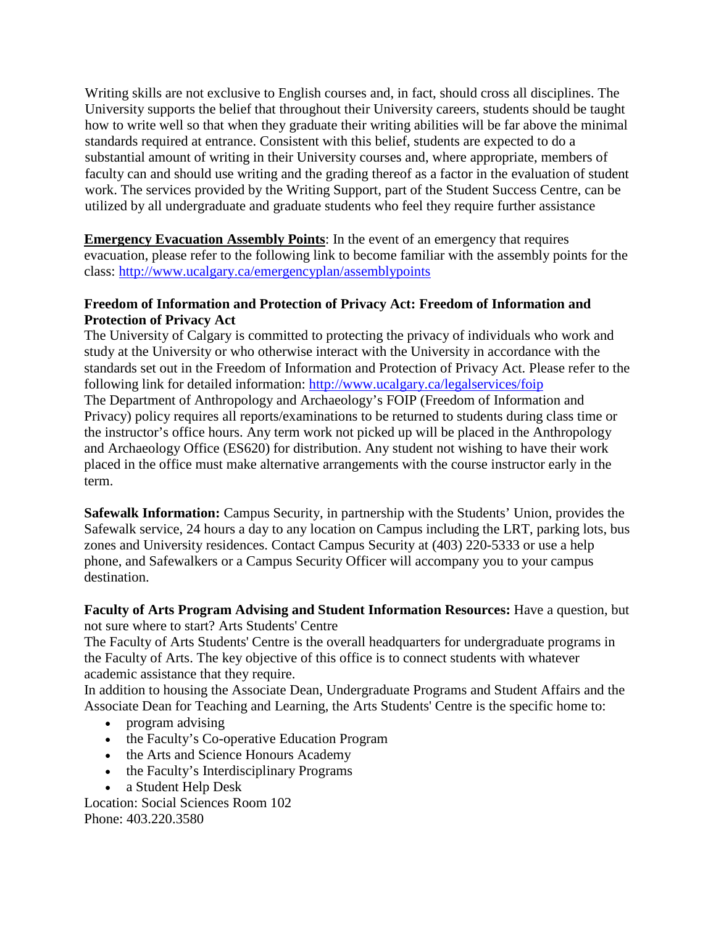Writing skills are not exclusive to English courses and, in fact, should cross all disciplines. The University supports the belief that throughout their University careers, students should be taught how to write well so that when they graduate their writing abilities will be far above the minimal standards required at entrance. Consistent with this belief, students are expected to do a substantial amount of writing in their University courses and, where appropriate, members of faculty can and should use writing and the grading thereof as a factor in the evaluation of student work. The services provided by the Writing Support, part of the Student Success Centre, can be utilized by all undergraduate and graduate students who feel they require further assistance

**Emergency Evacuation Assembly Points:** In the event of an emergency that requires evacuation, please refer to the following link to become familiar with the assembly points for the class:<http://www.ucalgary.ca/emergencyplan/assemblypoints>

### **Freedom of Information and Protection of Privacy Act: Freedom of Information and Protection of Privacy Act**

The University of Calgary is committed to protecting the privacy of individuals who work and study at the University or who otherwise interact with the University in accordance with the standards set out in the Freedom of Information and Protection of Privacy Act. Please refer to the following link for detailed information:<http://www.ucalgary.ca/legalservices/foip> The Department of Anthropology and Archaeology's FOIP (Freedom of Information and Privacy) policy requires all reports/examinations to be returned to students during class time or the instructor's office hours. Any term work not picked up will be placed in the Anthropology and Archaeology Office (ES620) for distribution. Any student not wishing to have their work placed in the office must make alternative arrangements with the course instructor early in the term.

**Safewalk Information:** Campus Security, in partnership with the Students' Union, provides the Safewalk service, 24 hours a day to any location on Campus including the LRT, parking lots, bus zones and University residences. Contact Campus Security at (403) 220-5333 or use a help phone, and Safewalkers or a Campus Security Officer will accompany you to your campus destination.

**Faculty of Arts Program Advising and Student Information Resources:** Have a question, but not sure where to start? Arts Students' Centre

The Faculty of Arts Students' Centre is the overall headquarters for undergraduate programs in the Faculty of Arts. The key objective of this office is to connect students with whatever academic assistance that they require.

In addition to housing the Associate Dean, Undergraduate Programs and Student Affairs and the Associate Dean for Teaching and Learning, the Arts Students' Centre is the specific home to:

- program advising
- the Faculty's Co-operative Education Program
- the Arts and Science Honours Academy
- the Faculty's Interdisciplinary Programs
- a Student Help Desk

Location: Social Sciences Room 102 Phone: 403.220.3580